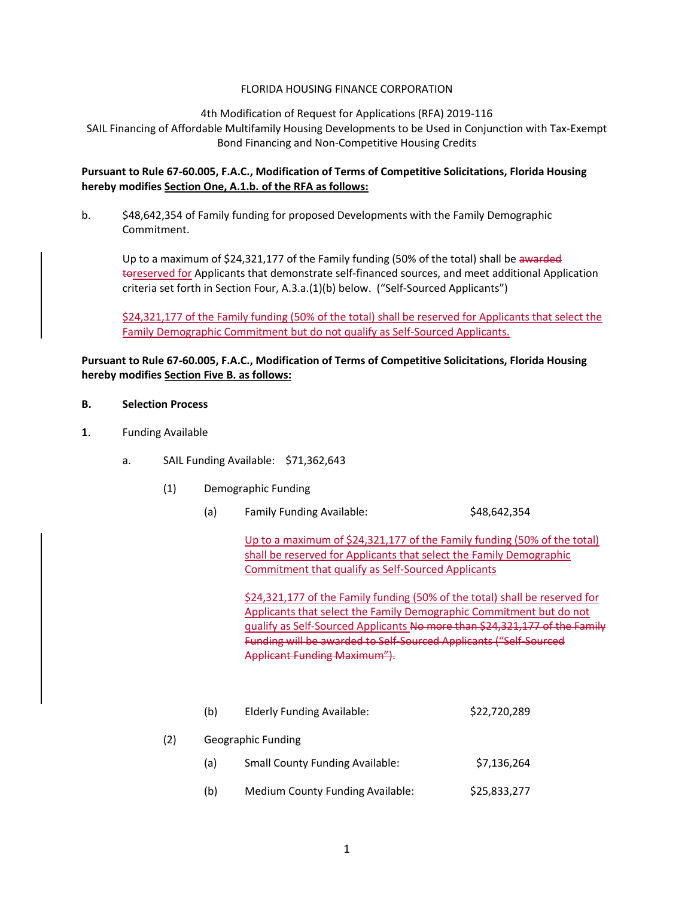## FLORIDA HOUSING FINANCE CORPORATION

#### 4th Modification of Request for Applications (RFA) 2019-116

SAIL Financing of Affordable Multifamily Housing Developments to be Used in Conjunction with Tax-Exempt Bond Financing and Non-Competitive Housing Credits

# **Pursuant to Rule 67-60.005, F.A.C., Modification of Terms of Competitive Solicitations, Florida Housing hereby modifies Section One, A.1.b. of the RFA as follows:**

b. \$48,642,354 of Family funding for proposed Developments with the Family Demographic Commitment.

Up to a maximum of \$24,321,177 of the Family funding (50% of the total) shall be awarded toreserved for Applicants that demonstrate self-financed sources, and meet additional Application criteria set forth in Section Four, A.3.a.(1)(b) below. ("Self-Sourced Applicants")

\$24,321,177 of the Family funding (50% of the total) shall be reserved for Applicants that select the Family Demographic Commitment but do not qualify as Self-Sourced Applicants.

# **Pursuant to Rule 67-60.005, F.A.C., Modification of Terms of Competitive Solicitations, Florida Housing hereby modifies Section Five B. as follows:**

#### **B. Selection Process**

- **1**. Funding Available
	- a. SAIL Funding Available: \$71,362,643
		- (1) Demographic Funding
			- (a) Family Funding Available:  $\frac{1}{2}$  \$48,642,354

Up to a maximum of \$24,321,177 of the Family funding (50% of the total) shall be reserved for Applicants that select the Family Demographic Commitment that qualify as Self-Sourced Applicants

\$24,321,177 of the Family funding (50% of the total) shall be reserved for Applicants that select the Family Demographic Commitment but do not qualify as Self-Sourced Applicants No more than \$24,321,177 of the Family Funding will be awarded to Self-Sourced Applicants ("Self-Sourced Applicant Funding Maximum").

|     | (b)                | <b>Elderly Funding Available:</b>      | \$22,720,289 |
|-----|--------------------|----------------------------------------|--------------|
| (2) | Geographic Funding |                                        |              |
|     | (a)                | <b>Small County Funding Available:</b> | \$7,136,264  |
|     | (b)                | Medium County Funding Available:       | \$25,833,277 |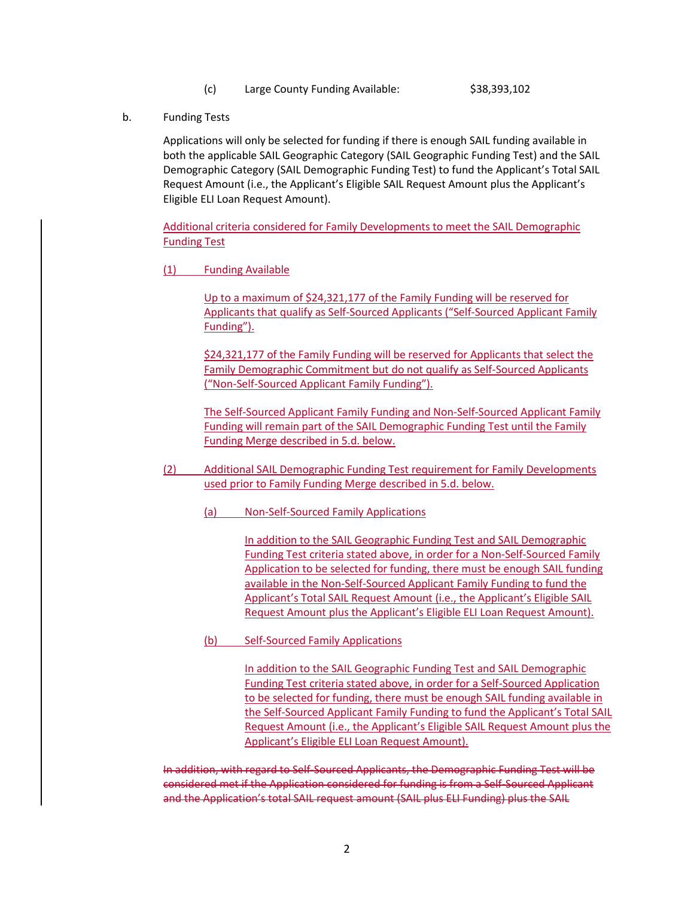(c) Large County Funding Available: \$38,393,102

b. Funding Tests

Applications will only be selected for funding if there is enough SAIL funding available in both the applicable SAIL Geographic Category (SAIL Geographic Funding Test) and the SAIL Demographic Category (SAIL Demographic Funding Test) to fund the Applicant's Total SAIL Request Amount (i.e., the Applicant's Eligible SAIL Request Amount plus the Applicant's Eligible ELI Loan Request Amount).

Additional criteria considered for Family Developments to meet the SAIL Demographic Funding Test

(1) Funding Available

Up to a maximum of \$24,321,177 of the Family Funding will be reserved for Applicants that qualify as Self-Sourced Applicants ("Self-Sourced Applicant Family Funding").

\$24,321,177 of the Family Funding will be reserved for Applicants that select the Family Demographic Commitment but do not qualify as Self-Sourced Applicants ("Non-Self-Sourced Applicant Family Funding").

The Self-Sourced Applicant Family Funding and Non-Self-Sourced Applicant Family Funding will remain part of the SAIL Demographic Funding Test until the Family Funding Merge described in 5.d. below.

- (2) Additional SAIL Demographic Funding Test requirement for Family Developments used prior to Family Funding Merge described in 5.d. below.
	- (a) Non-Self-Sourced Family Applications

In addition to the SAIL Geographic Funding Test and SAIL Demographic Funding Test criteria stated above, in order for a Non-Self-Sourced Family Application to be selected for funding, there must be enough SAIL funding available in the Non-Self-Sourced Applicant Family Funding to fund the Applicant's Total SAIL Request Amount (i.e., the Applicant's Eligible SAIL Request Amount plus the Applicant's Eligible ELI Loan Request Amount).

(b) Self-Sourced Family Applications

In addition to the SAIL Geographic Funding Test and SAIL Demographic Funding Test criteria stated above, in order for a Self-Sourced Application to be selected for funding, there must be enough SAIL funding available in the Self-Sourced Applicant Family Funding to fund the Applicant's Total SAIL Request Amount (i.e., the Applicant's Eligible SAIL Request Amount plus the Applicant's Eligible ELI Loan Request Amount).

In addition, with regard to Self-Sourced Applicants, the Demographic Funding Test will be considered met if the Application considered for funding is from a Self-Sourced Applicant and the Application's total SAIL request amount (SAIL plus ELI Funding) plus the SAIL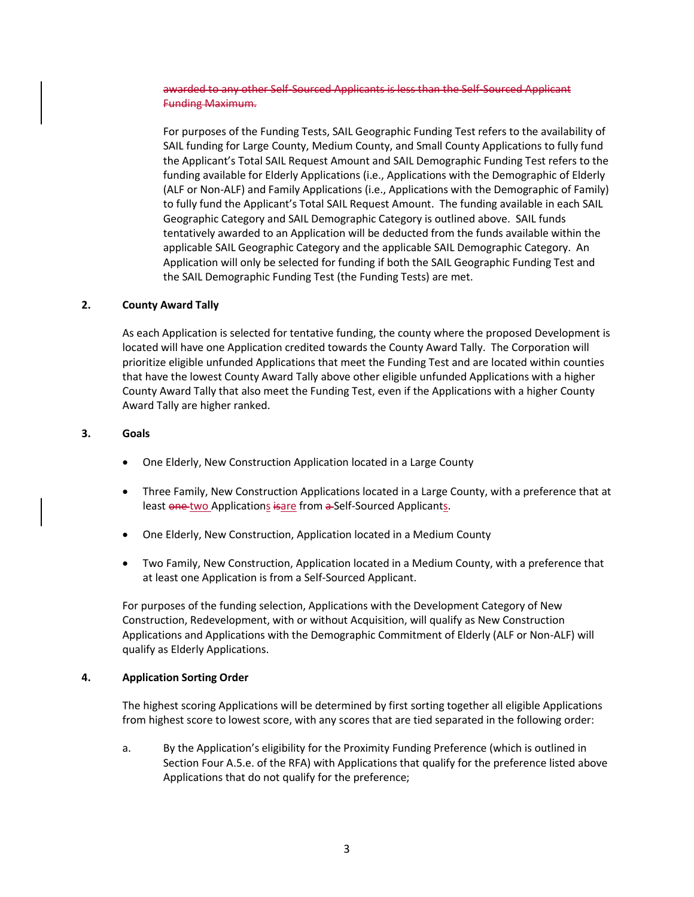awarded to any other Self-Sourced Applicants is less than the Self-Sourced Applicant Funding Maximum.

For purposes of the Funding Tests, SAIL Geographic Funding Test refers to the availability of SAIL funding for Large County, Medium County, and Small County Applications to fully fund the Applicant's Total SAIL Request Amount and SAIL Demographic Funding Test refers to the funding available for Elderly Applications (i.e., Applications with the Demographic of Elderly (ALF or Non-ALF) and Family Applications (i.e., Applications with the Demographic of Family) to fully fund the Applicant's Total SAIL Request Amount. The funding available in each SAIL Geographic Category and SAIL Demographic Category is outlined above. SAIL funds tentatively awarded to an Application will be deducted from the funds available within the applicable SAIL Geographic Category and the applicable SAIL Demographic Category. An Application will only be selected for funding if both the SAIL Geographic Funding Test and the SAIL Demographic Funding Test (the Funding Tests) are met.

### **2. County Award Tally**

As each Application is selected for tentative funding, the county where the proposed Development is located will have one Application credited towards the County Award Tally. The Corporation will prioritize eligible unfunded Applications that meet the Funding Test and are located within counties that have the lowest County Award Tally above other eligible unfunded Applications with a higher County Award Tally that also meet the Funding Test, even if the Applications with a higher County Award Tally are higher ranked.

### **3. Goals**

- One Elderly, New Construction Application located in a Large County
- Three Family, New Construction Applications located in a Large County, with a preference that at least one two Applications isare from a-Self-Sourced Applicants.
- One Elderly, New Construction, Application located in a Medium County
- Two Family, New Construction, Application located in a Medium County, with a preference that at least one Application is from a Self-Sourced Applicant.

For purposes of the funding selection, Applications with the Development Category of New Construction, Redevelopment, with or without Acquisition, will qualify as New Construction Applications and Applications with the Demographic Commitment of Elderly (ALF or Non-ALF) will qualify as Elderly Applications.

### **4. Application Sorting Order**

The highest scoring Applications will be determined by first sorting together all eligible Applications from highest score to lowest score, with any scores that are tied separated in the following order:

a. By the Application's eligibility for the Proximity Funding Preference (which is outlined in Section Four A.5.e. of the RFA) with Applications that qualify for the preference listed above Applications that do not qualify for the preference;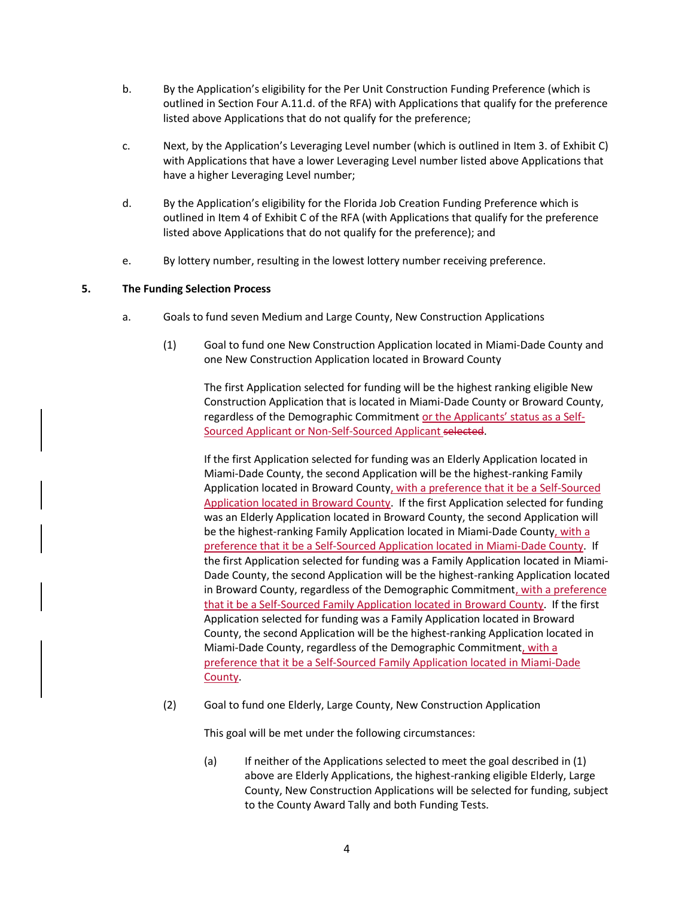- b. By the Application's eligibility for the Per Unit Construction Funding Preference (which is outlined in Section Four A.11.d. of the RFA) with Applications that qualify for the preference listed above Applications that do not qualify for the preference;
- c. Next, by the Application's Leveraging Level number (which is outlined in Item 3. of Exhibit C) with Applications that have a lower Leveraging Level number listed above Applications that have a higher Leveraging Level number;
- d. By the Application's eligibility for the Florida Job Creation Funding Preference which is outlined in Item 4 of Exhibit C of the RFA (with Applications that qualify for the preference listed above Applications that do not qualify for the preference); and
- e. By lottery number, resulting in the lowest lottery number receiving preference.

# **5. The Funding Selection Process**

- a. Goals to fund seven Medium and Large County, New Construction Applications
	- (1) Goal to fund one New Construction Application located in Miami-Dade County and one New Construction Application located in Broward County

The first Application selected for funding will be the highest ranking eligible New Construction Application that is located in Miami-Dade County or Broward County, regardless of the Demographic Commitment or the Applicants' status as a Self-Sourced Applicant or Non-Self-Sourced Applicant selected.

If the first Application selected for funding was an Elderly Application located in Miami-Dade County, the second Application will be the highest-ranking Family Application located in Broward County, with a preference that it be a Self-Sourced Application located in Broward County. If the first Application selected for funding was an Elderly Application located in Broward County, the second Application will be the highest-ranking Family Application located in Miami-Dade County, with a preference that it be a Self-Sourced Application located in Miami-Dade County. If the first Application selected for funding was a Family Application located in Miami-Dade County, the second Application will be the highest-ranking Application located in Broward County, regardless of the Demographic Commitment, with a preference that it be a Self-Sourced Family Application located in Broward County. If the first Application selected for funding was a Family Application located in Broward County, the second Application will be the highest-ranking Application located in Miami-Dade County, regardless of the Demographic Commitment, with a preference that it be a Self-Sourced Family Application located in Miami-Dade County.

(2) Goal to fund one Elderly, Large County, New Construction Application

This goal will be met under the following circumstances:

(a) If neither of the Applications selected to meet the goal described in (1) above are Elderly Applications, the highest-ranking eligible Elderly, Large County, New Construction Applications will be selected for funding, subject to the County Award Tally and both Funding Tests.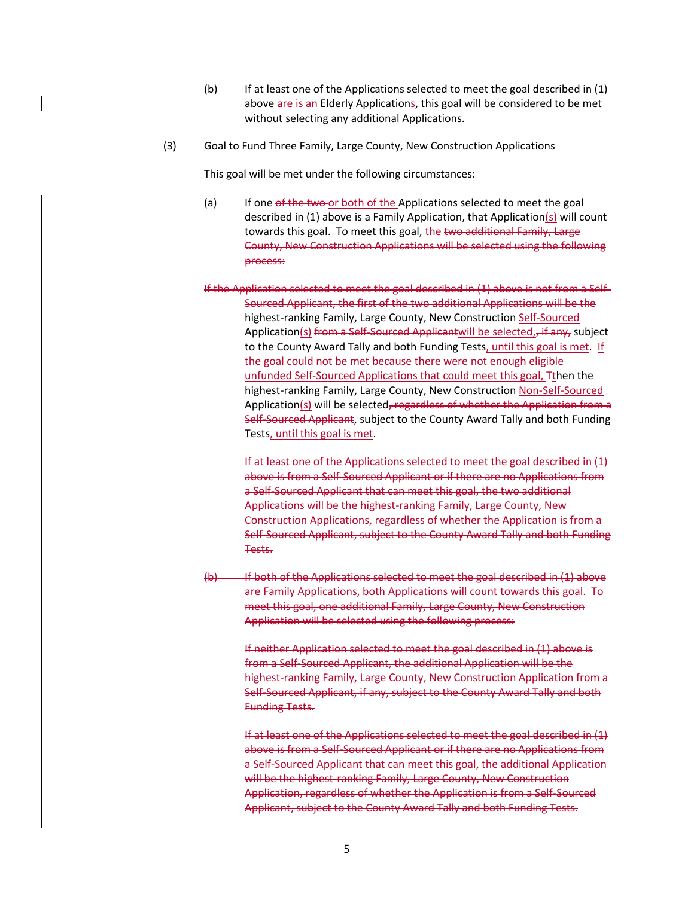- (b) If at least one of the Applications selected to meet the goal described in (1) above are is an Elderly Applications, this goal will be considered to be met without selecting any additional Applications.
- (3) Goal to Fund Three Family, Large County, New Construction Applications

This goal will be met under the following circumstances:

- (a) If one of the two or both of the Applications selected to meet the goal described in (1) above is a Family Application, that Application(s) will count towards this goal. To meet this goal, the two additional Family, Large County, New Construction Applications will be selected using the following process:
- If the Application selected to meet the goal described in (1) above is not from a Self-Sourced Applicant, the first of the two additional Applications will be the highest-ranking Family, Large County, New Construction Self-Sourced Application(s) from a Self-Sourced Applicantwill be selected, if any, subject to the County Award Tally and both Funding Tests, until this goal is met. If the goal could not be met because there were not enough eligible unfunded Self-Sourced Applications that could meet this goal, Tthen the highest-ranking Family, Large County, New Construction Non-Self-Sourced Application(s) will be selected, regardless of whether the Application from a Self-Sourced Applicant, subject to the County Award Tally and both Funding Tests, until this goal is met.

If at least one of the Applications selected to meet the goal described in (1) above is from a Self-Sourced Applicant or if there are no Applications from a Self-Sourced Applicant that can meet this goal, the two additional Applications will be the highest-ranking Family, Large County, New Construction Applications, regardless of whether the Application is from a Self-Sourced Applicant, subject to the County Award Tally and both Funding Tests.

(b) If both of the Applications selected to meet the goal described in (1) above are Family Applications, both Applications will count towards this goal. To meet this goal, one additional Family, Large County, New Construction Application will be selected using the following process:

If neither Application selected to meet the goal described in (1) above is from a Self-Sourced Applicant, the additional Application will be the highest-ranking Family, Large County, New Construction Application from a Self-Sourced Applicant, if any, subject to the County Award Tally and both Funding Tests.

If at least one of the Applications selected to meet the goal described in (1) above is from a Self-Sourced Applicant or if there are no Applications from a Self-Sourced Applicant that can meet this goal, the additional Application will be the highest-ranking Family, Large County, New Construction Application, regardless of whether the Application is from a Self-Sourced Applicant, subject to the County Award Tally and both Funding Tests.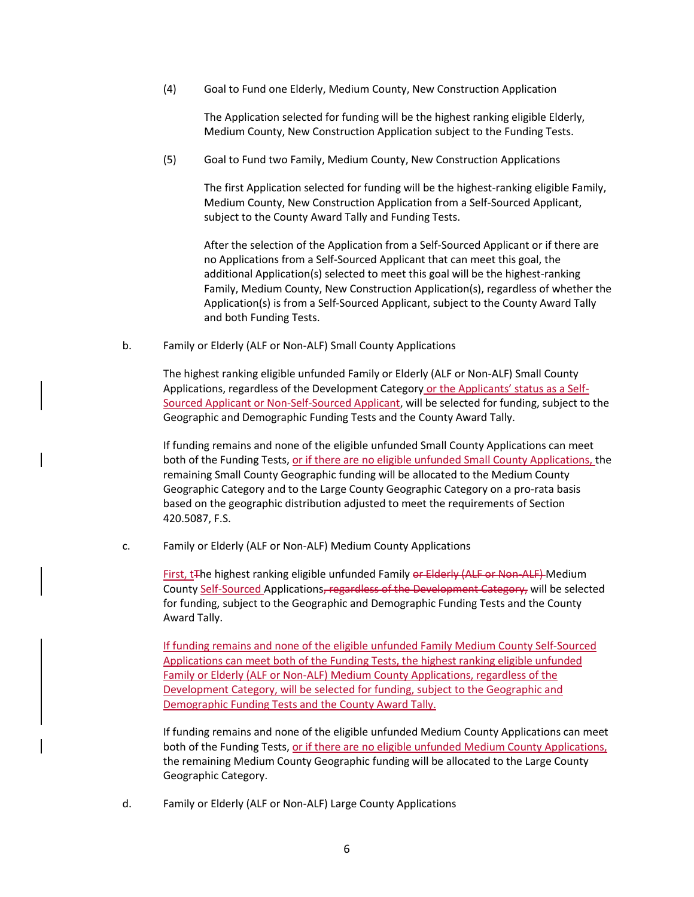(4) Goal to Fund one Elderly, Medium County, New Construction Application

The Application selected for funding will be the highest ranking eligible Elderly, Medium County, New Construction Application subject to the Funding Tests.

(5) Goal to Fund two Family, Medium County, New Construction Applications

The first Application selected for funding will be the highest-ranking eligible Family, Medium County, New Construction Application from a Self-Sourced Applicant, subject to the County Award Tally and Funding Tests.

After the selection of the Application from a Self-Sourced Applicant or if there are no Applications from a Self-Sourced Applicant that can meet this goal, the additional Application(s) selected to meet this goal will be the highest-ranking Family, Medium County, New Construction Application(s), regardless of whether the Application(s) is from a Self-Sourced Applicant, subject to the County Award Tally and both Funding Tests.

b. Family or Elderly (ALF or Non-ALF) Small County Applications

The highest ranking eligible unfunded Family or Elderly (ALF or Non-ALF) Small County Applications, regardless of the Development Category or the Applicants' status as a Self-Sourced Applicant or Non-Self-Sourced Applicant, will be selected for funding, subject to the Geographic and Demographic Funding Tests and the County Award Tally.

If funding remains and none of the eligible unfunded Small County Applications can meet both of the Funding Tests, or if there are no eligible unfunded Small County Applications, the remaining Small County Geographic funding will be allocated to the Medium County Geographic Category and to the Large County Geographic Category on a pro-rata basis based on the geographic distribution adjusted to meet the requirements of Section 420.5087, F.S.

c. Family or Elderly (ALF or Non-ALF) Medium County Applications

First, t<sub>The highest ranking eligible unfunded Family or Elderly (ALF or Non-ALF) Medium</sub> County Self-Sourced Applications, regardless of the Development Category, will be selected for funding, subject to the Geographic and Demographic Funding Tests and the County Award Tally.

If funding remains and none of the eligible unfunded Family Medium County Self-Sourced Applications can meet both of the Funding Tests, the highest ranking eligible unfunded Family or Elderly (ALF or Non-ALF) Medium County Applications, regardless of the Development Category, will be selected for funding, subject to the Geographic and Demographic Funding Tests and the County Award Tally.

If funding remains and none of the eligible unfunded Medium County Applications can meet both of the Funding Tests, or if there are no eligible unfunded Medium County Applications, the remaining Medium County Geographic funding will be allocated to the Large County Geographic Category.

d. Family or Elderly (ALF or Non-ALF) Large County Applications